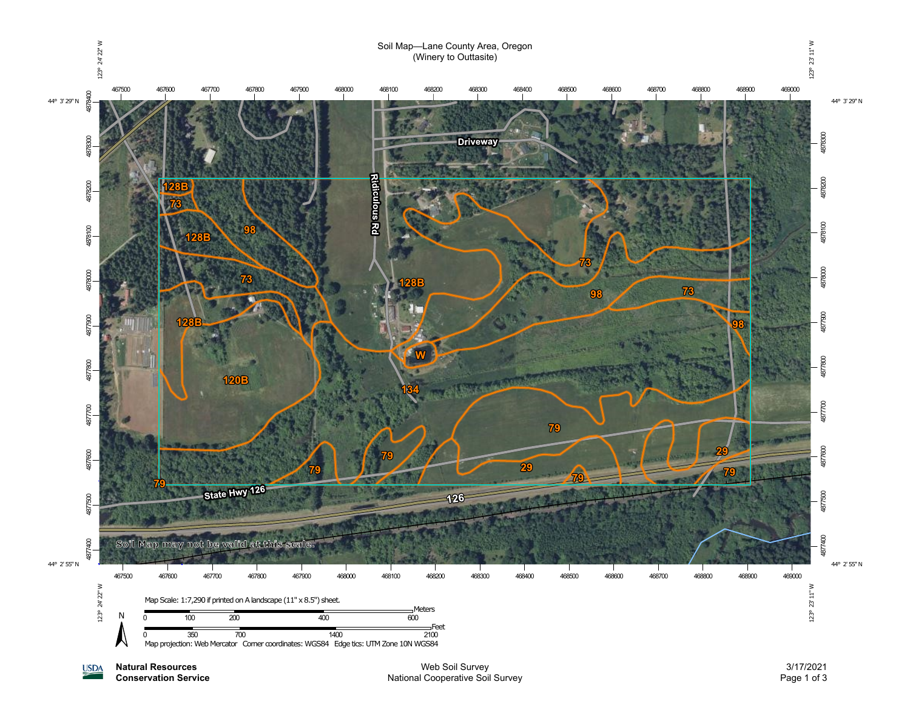

**Natural Resources Conservation Service**

**USDA** 

Web Soil Survey National Cooperative Soil Survey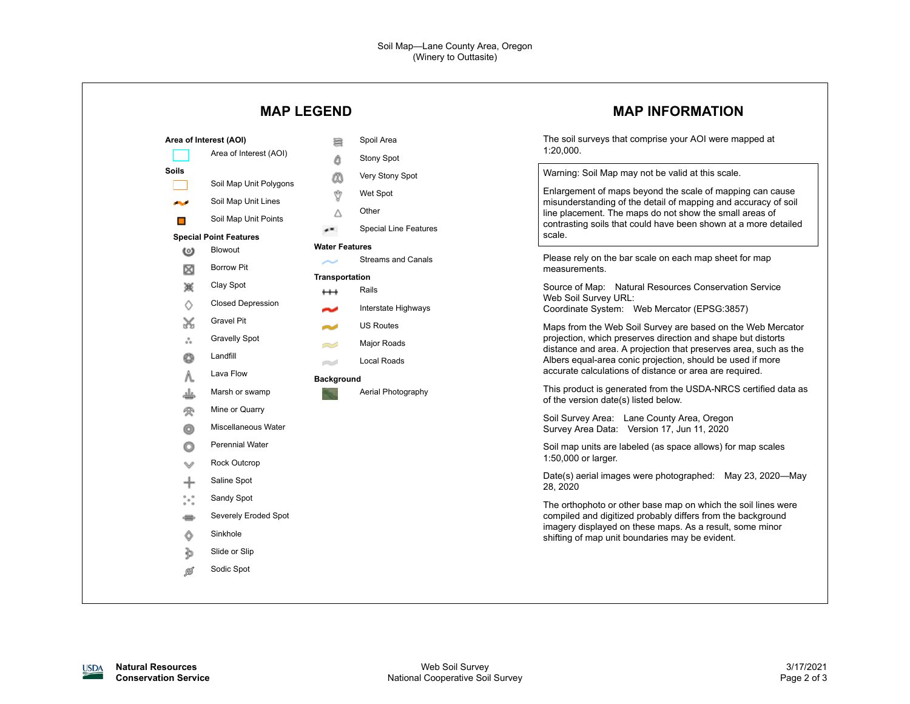|                                                                                                    |                                                                                                                                                                                                                                                                          |                                                                                                                                                                                                           |                                                                                                                                                                            | <b>MAP INFORMATION</b>                                                                                                                                                                                                                                                                                                                                                                                                                                                                                                                                                                                                                                                                                                                                                                                                                                                                                                                                                                                   |
|----------------------------------------------------------------------------------------------------|--------------------------------------------------------------------------------------------------------------------------------------------------------------------------------------------------------------------------------------------------------------------------|-----------------------------------------------------------------------------------------------------------------------------------------------------------------------------------------------------------|----------------------------------------------------------------------------------------------------------------------------------------------------------------------------|----------------------------------------------------------------------------------------------------------------------------------------------------------------------------------------------------------------------------------------------------------------------------------------------------------------------------------------------------------------------------------------------------------------------------------------------------------------------------------------------------------------------------------------------------------------------------------------------------------------------------------------------------------------------------------------------------------------------------------------------------------------------------------------------------------------------------------------------------------------------------------------------------------------------------------------------------------------------------------------------------------|
| Area of Interest (AOI)<br><b>Soils</b><br>المحاد<br>$\Box$<br>ω<br>⊠<br>簽<br>♦<br>×<br>៓<br>O<br>Λ | Area of Interest (AOI)<br>Soil Map Unit Polygons<br>Soil Map Unit Lines<br>Soil Map Unit Points<br><b>Special Point Features</b><br>Blowout<br><b>Borrow Pit</b><br>Clay Spot<br><b>Closed Depression</b><br>Gravel Pit<br><b>Gravelly Spot</b><br>Landfill<br>Lava Flow | <b>MAP LEGEND</b><br>Spoil Area<br>暠<br>Δ<br>Őδ<br>Ŷ<br>Wet Spot<br>Other<br>Δ<br>æ<br><b>Water Features</b><br>Transportation<br>Rails<br>$^{\rm ++}$<br>~<br>المسالات<br>=S<br>e d<br><b>Background</b> | <b>Stony Spot</b><br>Very Stony Spot<br><b>Special Line Features</b><br><b>Streams and Canals</b><br>Interstate Highways<br><b>US Routes</b><br>Major Roads<br>Local Roads | The soil surveys that comprise your AOI were mapped at<br>1:20,000.<br>Warning: Soil Map may not be valid at this scale.<br>Enlargement of maps beyond the scale of mapping can cause<br>misunderstanding of the detail of mapping and accuracy of soil<br>line placement. The maps do not show the small areas of<br>contrasting soils that could have been shown at a more detailed<br>scale.<br>Please rely on the bar scale on each map sheet for map<br>measurements.<br>Source of Map: Natural Resources Conservation Service<br>Web Soil Survey URL:<br>Coordinate System: Web Mercator (EPSG:3857)<br>Maps from the Web Soil Survey are based on the Web Mercator<br>projection, which preserves direction and shape but distorts<br>distance and area. A projection that preserves area, such as the<br>Albers equal-area conic projection, should be used if more<br>accurate calculations of distance or area are required.<br>This product is generated from the USDA-NRCS certified data as |
| 受<br>o<br>o<br>╇<br>$\degree\circ$<br>⇔<br>Ô<br>þ<br>Ø                                             | Marsh or swamp<br>Mine or Quarry<br>Miscellaneous Water<br><b>Perennial Water</b><br>Rock Outcrop<br>Saline Spot<br>Sandy Spot<br>Severely Eroded Spot<br>Sinkhole<br>Slide or Slip<br>Sodic Spot                                                                        |                                                                                                                                                                                                           | Aerial Photography                                                                                                                                                         | of the version date(s) listed below.<br>Soil Survey Area: Lane County Area, Oregon<br>Survey Area Data: Version 17, Jun 11, 2020<br>Soil map units are labeled (as space allows) for map scales<br>1:50,000 or larger.<br>Date(s) aerial images were photographed: May 23, 2020-May<br>28, 2020<br>The orthophoto or other base map on which the soil lines were<br>compiled and digitized probably differs from the background<br>imagery displayed on these maps. As a result, some minor<br>shifting of map unit boundaries may be evident.                                                                                                                                                                                                                                                                                                                                                                                                                                                           |